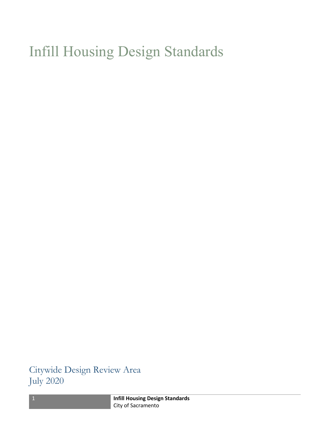## Infill Housing Design Standards

Citywide Design Review Area July 2020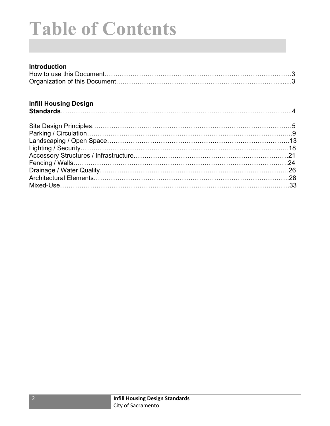# Table of Contents

### Introduction

#### Infill Housing Design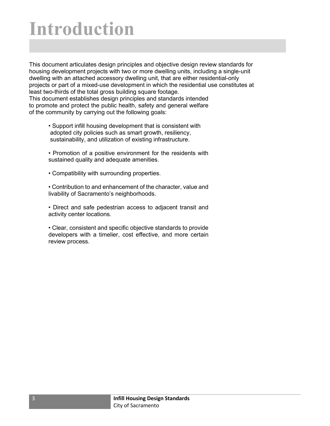## Introduction

This document articulates design principles and objective design review standards for housing development projects with two or more dwelling units, including a single-unit dwelling with an attached accessory dwelling unit, that are either residential-only projects or part of a mixed-use development in which the residential use constitutes at least two-thirds of the total gross building square footage. This document establishes design principles and standards intended to promote and protect the public health, safety and general welfare of the community by carrying out the following goals:

- Support infill housing development that is consistent with adopted city policies such as smart growth, resiliency, sustainability, and utilization of existing infrastructure.
- Promotion of a positive environment for the residents with sustained quality and adequate amenities.
- Compatibility with surrounding properties.
- Contribution to and enhancement of the character, value and livability of Sacramento's neighborhoods.
- Direct and safe pedestrian access to adjacent transit and activity center locations.
- Clear, consistent and specific objective standards to provide developers with a timelier, cost effective, and more certain review process.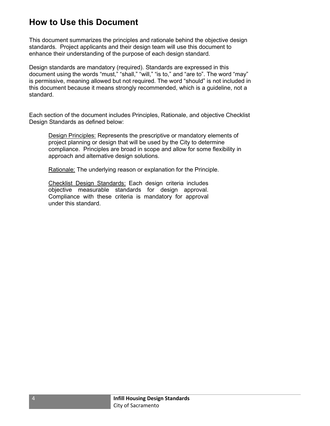## How to Use this Document

This document summarizes the principles and rationale behind the objective design standards. Project applicants and their design team will use this document to enhance their understanding of the purpose of each design standard.

Design standards are mandatory (required). Standards are expressed in this document using the words "must," "shall," "will," "is to," and "are to". The word "may" is permissive, meaning allowed but not required. The word "should" is not included in this document because it means strongly recommended, which is a guideline, not a standard.

Each section of the document includes Principles, Rationale, and objective Checklist Design Standards as defined below:

Design Principles: Represents the prescriptive or mandatory elements of project planning or design that will be used by the City to determine compliance. Principles are broad in scope and allow for some flexibility in approach and alternative design solutions.

Rationale: The underlying reason or explanation for the Principle.

Checklist Design Standards: Each design criteria includes objective measurable standards for design approval. Compliance with these criteria is mandatory for approval under this standard.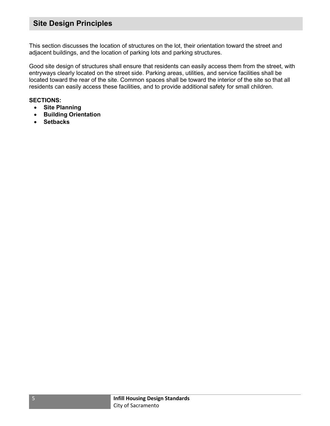## Site Design Principles

This section discusses the location of structures on the lot, their orientation toward the street and adjacent buildings, and the location of parking lots and parking structures.

Good site design of structures shall ensure that residents can easily access them from the street, with entryways clearly located on the street side. Parking areas, utilities, and service facilities shall be located toward the rear of the site. Common spaces shall be toward the interior of the site so that all residents can easily access these facilities, and to provide additional safety for small children.

#### SECTIONS:

- Site Planning
- **•** Building Orientation
- Setbacks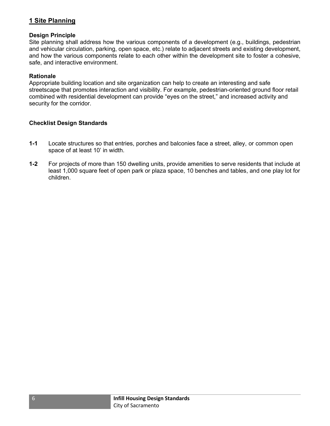#### 1 Site Planning

#### Design Principle

Site planning shall address how the various components of a development (e.g., buildings, pedestrian and vehicular circulation, parking, open space, etc.) relate to adjacent streets and existing development, and how the various components relate to each other within the development site to foster a cohesive, safe, and interactive environment.

#### **Rationale**

Appropriate building location and site organization can help to create an interesting and safe streetscape that promotes interaction and visibility. For example, pedestrian-oriented ground floor retail combined with residential development can provide "eyes on the street," and increased activity and security for the corridor.

- 1-1 Locate structures so that entries, porches and balconies face a street, alley, or common open space of at least 10' in width.
- 1-2 For projects of more than 150 dwelling units, provide amenities to serve residents that include at least 1,000 square feet of open park or plaza space, 10 benches and tables, and one play lot for children.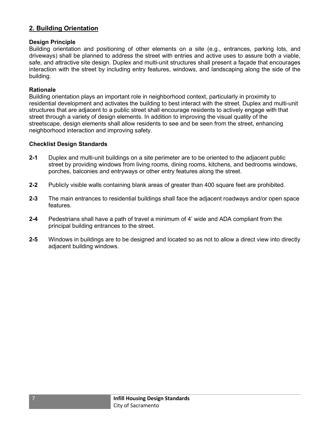#### 2. Building Orientation

#### Design Principle

Building orientation and positioning of other elements on a site (e.g., entrances, parking lots, and driveways) shall be planned to address the street with entries and active uses to assure both a viable, safe, and attractive site design. Duplex and multi-unit structures shall present a façade that encourages interaction with the street by including entry features, windows, and landscaping along the side of the building.

#### Rationale

Building orientation plays an important role in neighborhood context, particularly in proximity to residential development and activates the building to best interact with the street. Duplex and multi-unit structures that are adjacent to a public street shall encourage residents to actively engage with that street through a variety of design elements. In addition to improving the visual quality of the streetscape, design elements shall allow residents to see and be seen from the street, enhancing neighborhood interaction and improving safety.

- 2-1 Duplex and multi-unit buildings on a site perimeter are to be oriented to the adjacent public street by providing windows from living rooms, dining rooms, kitchens, and bedrooms windows, porches, balconies and entryways or other entry features along the street.
- 2-2 Publicly visible walls containing blank areas of greater than 400 square feet are prohibited.
- 2-3 The main entrances to residential buildings shall face the adjacent roadways and/or open space features.
- 2-4 Pedestrians shall have a path of travel a minimum of 4' wide and ADA compliant from the principal building entrances to the street.
- 2-5 Windows in buildings are to be designed and located so as not to allow a direct view into directly adjacent building windows.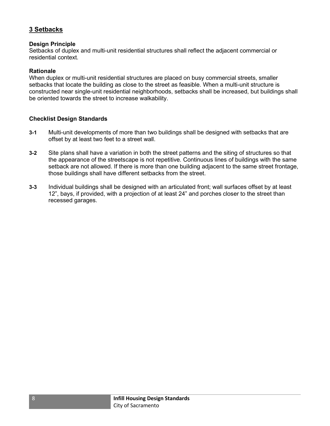#### 3 Setbacks

#### Design Principle

Setbacks of duplex and multi-unit residential structures shall reflect the adjacent commercial or residential context.

#### Rationale

When duplex or multi-unit residential structures are placed on busy commercial streets, smaller setbacks that locate the building as close to the street as feasible. When a multi-unit structure is constructed near single-unit residential neighborhoods, setbacks shall be increased, but buildings shall be oriented towards the street to increase walkability.

- 3-1 Multi-unit developments of more than two buildings shall be designed with setbacks that are offset by at least two feet to a street wall.
- 3-2 Site plans shall have a variation in both the street patterns and the siting of structures so that the appearance of the streetscape is not repetitive. Continuous lines of buildings with the same setback are not allowed. If there is more than one building adjacent to the same street frontage, those buildings shall have different setbacks from the street.
- 3-3 Individual buildings shall be designed with an articulated front; wall surfaces offset by at least 12", bays, if provided, with a projection of at least 24" and porches closer to the street than recessed garages.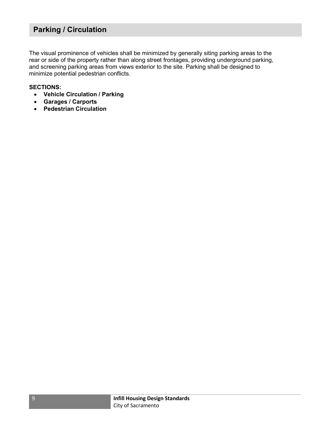## Parking / Circulation

The visual prominence of vehicles shall be minimized by generally siting parking areas to the rear or side of the property rather than along street frontages, providing underground parking, and screening parking areas from views exterior to the site. Parking shall be designed to minimize potential pedestrian conflicts.

#### SECTIONS:

- Vehicle Circulation / Parking
- Garages / Carports
- Pedestrian Circulation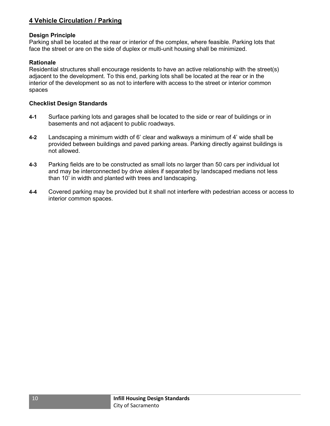#### 4 Vehicle Circulation / Parking

#### Design Principle

Parking shall be located at the rear or interior of the complex, where feasible. Parking lots that face the street or are on the side of duplex or multi-unit housing shall be minimized.

#### **Rationale**

Residential structures shall encourage residents to have an active relationship with the street(s) adjacent to the development. To this end, parking lots shall be located at the rear or in the interior of the development so as not to interfere with access to the street or interior common spaces

- 4-1 Surface parking lots and garages shall be located to the side or rear of buildings or in basements and not adjacent to public roadways.
- 4-2 Landscaping a minimum width of 6' clear and walkways a minimum of 4' wide shall be provided between buildings and paved parking areas. Parking directly against buildings is not allowed.
- 4-3 Parking fields are to be constructed as small lots no larger than 50 cars per individual lot and may be interconnected by drive aisles if separated by landscaped medians not less than 10' in width and planted with trees and landscaping.
- 4-4 Covered parking may be provided but it shall not interfere with pedestrian access or access to interior common spaces.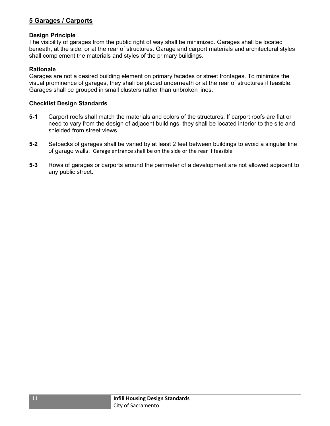#### 5 Garages / Carports

#### Design Principle

The visibility of garages from the public right of way shall be minimized. Garages shall be located beneath, at the side, or at the rear of structures. Garage and carport materials and architectural styles shall complement the materials and styles of the primary buildings.

#### Rationale

Garages are not a desired building element on primary facades or street frontages. To minimize the visual prominence of garages, they shall be placed underneath or at the rear of structures if feasible. Garages shall be grouped in small clusters rather than unbroken lines.

- 5-1 Carport roofs shall match the materials and colors of the structures. If carport roofs are flat or need to vary from the design of adjacent buildings, they shall be located interior to the site and shielded from street views.
- 5-2 Setbacks of garages shall be varied by at least 2 feet between buildings to avoid a singular line of garage walls. Garage entrance shall be on the side or the rear if feasible
- 5-3 Rows of garages or carports around the perimeter of a development are not allowed adjacent to any public street.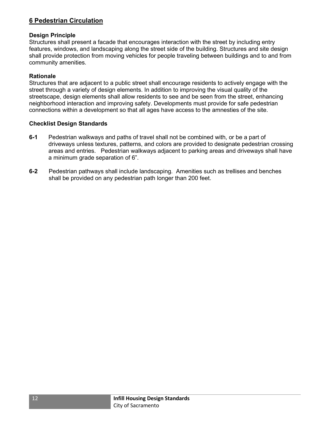#### 6 Pedestrian Circulation

#### Design Principle

Structures shall present a facade that encourages interaction with the street by including entry features, windows, and landscaping along the street side of the building. Structures and site design shall provide protection from moving vehicles for people traveling between buildings and to and from community amenities.

#### Rationale

Structures that are adjacent to a public street shall encourage residents to actively engage with the street through a variety of design elements. In addition to improving the visual quality of the streetscape, design elements shall allow residents to see and be seen from the street, enhancing neighborhood interaction and improving safety. Developments must provide for safe pedestrian connections within a development so that all ages have access to the amnesties of the site.

- 6-1 Pedestrian walkways and paths of travel shall not be combined with, or be a part of driveways unless textures, patterns, and colors are provided to designate pedestrian crossing areas and entries. Pedestrian walkways adjacent to parking areas and driveways shall have a minimum grade separation of 6".
- 6-2 Pedestrian pathways shall include landscaping. Amenities such as trellises and benches shall be provided on any pedestrian path longer than 200 feet.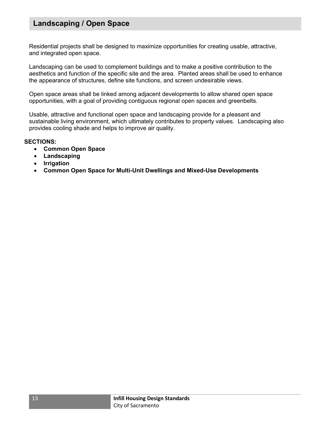## Landscaping / Open Space

Residential projects shall be designed to maximize opportunities for creating usable, attractive, and integrated open space.

Landscaping can be used to complement buildings and to make a positive contribution to the aesthetics and function of the specific site and the area. Planted areas shall be used to enhance the appearance of structures, define site functions, and screen undesirable views.

Open space areas shall be linked among adjacent developments to allow shared open space opportunities, with a goal of providing contiguous regional open spaces and greenbelts.

Usable, attractive and functional open space and landscaping provide for a pleasant and sustainable living environment, which ultimately contributes to property values. Landscaping also provides cooling shade and helps to improve air quality.

#### SECTIONS:

- Common Open Space
- Landscaping
- Irrigation
- Common Open Space for Multi-Unit Dwellings and Mixed-Use Developments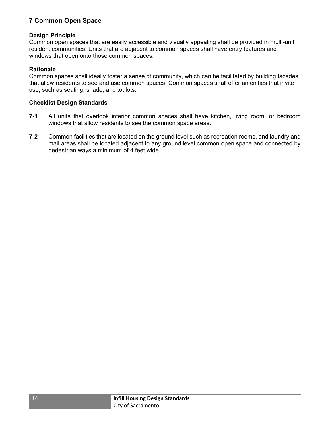#### 7 Common Open Space

#### Design Principle

Common open spaces that are easily accessible and visually appealing shall be provided in multi-unit resident communities. Units that are adjacent to common spaces shall have entry features and windows that open onto those common spaces.

#### Rationale

Common spaces shall ideally foster a sense of community, which can be facilitated by building facades that allow residents to see and use common spaces. Common spaces shall offer amenities that invite use, such as seating, shade, and tot lots.

- 7-1 All units that overlook interior common spaces shall have kitchen, living room, or bedroom windows that allow residents to see the common space areas.
- 7-2 Common facilities that are located on the ground level such as recreation rooms, and laundry and mail areas shall be located adjacent to any ground level common open space and connected by pedestrian ways a minimum of 4 feet wide.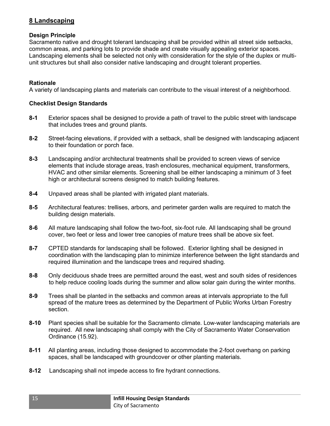#### 8 Landscaping

#### Design Principle

Sacramento native and drought tolerant landscaping shall be provided within all street side setbacks, common areas, and parking lots to provide shade and create visually appealing exterior spaces. Landscaping elements shall be selected not only with consideration for the style of the duplex or multiunit structures but shall also consider native landscaping and drought tolerant properties.

#### Rationale

A variety of landscaping plants and materials can contribute to the visual interest of a neighborhood.

- 8-1 Exterior spaces shall be designed to provide a path of travel to the public street with landscape that includes trees and ground plants.
- 8-2 Street-facing elevations, if provided with a setback, shall be designed with landscaping adjacent to their foundation or porch face.
- 8-3 Landscaping and/or architectural treatments shall be provided to screen views of service elements that include storage areas, trash enclosures, mechanical equipment, transformers, HVAC and other similar elements. Screening shall be either landscaping a minimum of 3 feet high or architectural screens designed to match building features.
- 8-4 Unpaved areas shall be planted with irrigated plant materials.
- 8-5 Architectural features: trellises, arbors, and perimeter garden walls are required to match the building design materials.
- 8-6 All mature landscaping shall follow the two-foot, six-foot rule. All landscaping shall be ground cover, two feet or less and lower tree canopies of mature trees shall be above six feet.
- 8-7 CPTED standards for landscaping shall be followed. Exterior lighting shall be designed in coordination with the landscaping plan to minimize interference between the light standards and required illumination and the landscape trees and required shading.
- 8-8 Only deciduous shade trees are permitted around the east, west and south sides of residences to help reduce cooling loads during the summer and allow solar gain during the winter months.
- 8-9 Trees shall be planted in the setbacks and common areas at intervals appropriate to the full spread of the mature trees as determined by the Department of Public Works Urban Forestry section.
- 8-10 Plant species shall be suitable for the Sacramento climate. Low-water landscaping materials are required. All new landscaping shall comply with the City of Sacramento Water Conservation Ordinance (15.92).
- 8-11 All planting areas, including those designed to accommodate the 2-foot overhang on parking spaces, shall be landscaped with groundcover or other planting materials.
- 8-12 Landscaping shall not impede access to fire hydrant connections.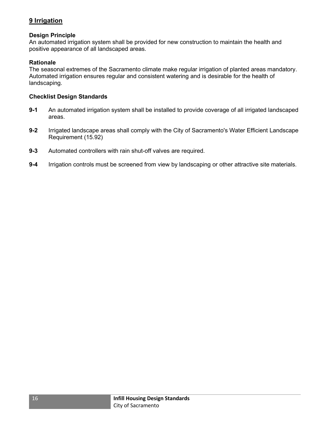### 9 Irrigation

#### Design Principle

An automated irrigation system shall be provided for new construction to maintain the health and positive appearance of all landscaped areas.

#### **Rationale**

The seasonal extremes of the Sacramento climate make regular irrigation of planted areas mandatory. Automated irrigation ensures regular and consistent watering and is desirable for the health of landscaping.

- 9-1 An automated irrigation system shall be installed to provide coverage of all irrigated landscaped areas.
- 9-2 Irrigated landscape areas shall comply with the City of Sacramento's Water Efficient Landscape Requirement (15.92)
- 9-3 Automated controllers with rain shut-off valves are required.
- 9-4 Irrigation controls must be screened from view by landscaping or other attractive site materials.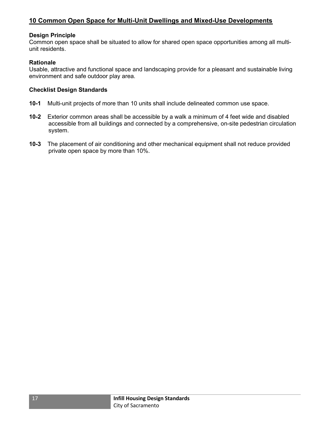#### Design Principle

Common open space shall be situated to allow for shared open space opportunities among all multiunit residents.

#### **Rationale**

Usable, attractive and functional space and landscaping provide for a pleasant and sustainable living environment and safe outdoor play area.

- 10-1 Multi-unit projects of more than 10 units shall include delineated common use space.
- 10-2 Exterior common areas shall be accessible by a walk a minimum of 4 feet wide and disabled accessible from all buildings and connected by a comprehensive, on-site pedestrian circulation system.
- 10-3 The placement of air conditioning and other mechanical equipment shall not reduce provided private open space by more than 10%.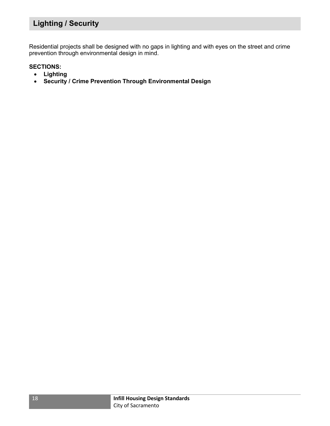## Lighting / Security

Residential projects shall be designed with no gaps in lighting and with eyes on the street and crime prevention through environmental design in mind.

#### SECTIONS:

- Lighting
- Security / Crime Prevention Through Environmental Design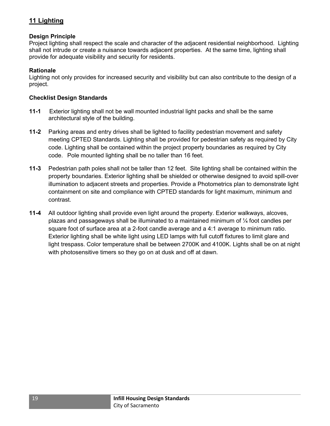#### 11 Lighting

#### Design Principle

Project lighting shall respect the scale and character of the adjacent residential neighborhood. Lighting shall not intrude or create a nuisance towards adjacent properties. At the same time, lighting shall provide for adequate visibility and security for residents.

#### Rationale

Lighting not only provides for increased security and visibility but can also contribute to the design of a project.

- 11-1 Exterior lighting shall not be wall mounted industrial light packs and shall be the same architectural style of the building.
- 11-2 Parking areas and entry drives shall be lighted to facility pedestrian movement and safety meeting CPTED Standards. Lighting shall be provided for pedestrian safety as required by City code. Lighting shall be contained within the project property boundaries as required by City code. Pole mounted lighting shall be no taller than 16 feet.
- 11-3 Pedestrian path poles shall not be taller than 12 feet. Site lighting shall be contained within the property boundaries. Exterior lighting shall be shielded or otherwise designed to avoid spill-over illumination to adjacent streets and properties. Provide a Photometrics plan to demonstrate light containment on site and compliance with CPTED standards for light maximum, minimum and contrast.
- 11-4 All outdoor lighting shall provide even light around the property. Exterior walkways, alcoves, plazas and passageways shall be illuminated to a maintained minimum of  $\frac{1}{4}$  foot candles per square foot of surface area at a 2-foot candle average and a 4:1 average to minimum ratio. Exterior lighting shall be white light using LED lamps with full cutoff fixtures to limit glare and light trespass. Color temperature shall be between 2700K and 4100K. Lights shall be on at night with photosensitive timers so they go on at dusk and off at dawn.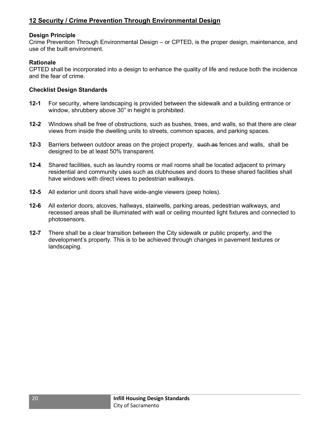#### Design Principle

Crime Prevention Through Environmental Design – or CPTED, is the proper design, maintenance, and use of the built environment.

#### **Rationale**

CPTED shall be incorporated into a design to enhance the quality of life and reduce both the incidence and the fear of crime.

- 12-1 For security, where landscaping is provided between the sidewalk and a building entrance or window, shrubbery above 30" in height is prohibited.
- 12-2 Windows shall be free of obstructions, such as bushes, trees, and walls, so that there are clear views from inside the dwelling units to streets, common spaces, and parking spaces.
- 12-3 Barriers between outdoor areas on the project property, such as fences and walls, shall be designed to be at least 50% transparent.
- 12-4 Shared facilities, such as laundry rooms or mail rooms shall be located adjacent to primary residential and community uses such as clubhouses and doors to these shared facilities shall have windows with direct views to pedestrian walkways.
- 12-5 All exterior unit doors shall have wide-angle viewers (peep holes).
- 12-6 All exterior doors, alcoves, hallways, stairwells, parking areas, pedestrian walkways, and recessed areas shall be illuminated with wall or ceiling mounted light fixtures and connected to photosensors.
- **12-7** There shall be a clear transition between the City sidewalk or public property, and the development's property. This is to be achieved through changes in pavement textures or landscaping.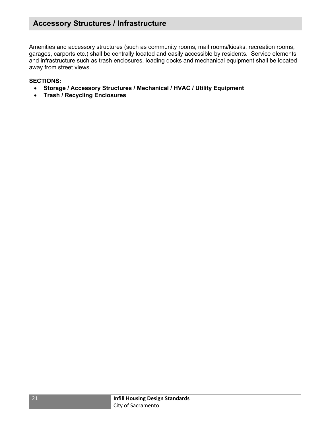## Accessory Structures / Infrastructure

Amenities and accessory structures (such as community rooms, mail rooms/kiosks, recreation rooms, garages, carports etc.) shall be centrally located and easily accessible by residents. Service elements and infrastructure such as trash enclosures, loading docks and mechanical equipment shall be located away from street views.

#### SECTIONS:

- Storage / Accessory Structures / Mechanical / HVAC / Utility Equipment
- Trash / Recycling Enclosures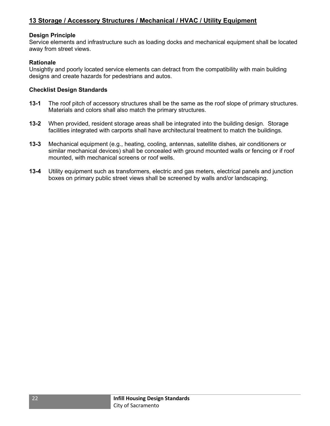#### Design Principle

Service elements and infrastructure such as loading docks and mechanical equipment shall be located away from street views.

#### **Rationale**

Unsightly and poorly located service elements can detract from the compatibility with main building designs and create hazards for pedestrians and autos.

- 13-1 The roof pitch of accessory structures shall be the same as the roof slope of primary structures. Materials and colors shall also match the primary structures.
- 13-2 When provided, resident storage areas shall be integrated into the building design. Storage facilities integrated with carports shall have architectural treatment to match the buildings.
- 13-3 Mechanical equipment (e.g., heating, cooling, antennas, satellite dishes, air conditioners or similar mechanical devices) shall be concealed with ground mounted walls or fencing or if roof mounted, with mechanical screens or roof wells.
- 13-4 Utility equipment such as transformers, electric and gas meters, electrical panels and junction boxes on primary public street views shall be screened by walls and/or landscaping.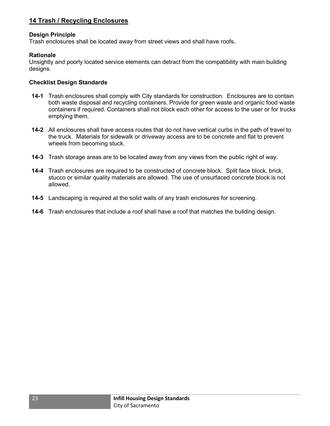#### 14 Trash / Recycling Enclosures

#### Design Principle

Trash enclosures shall be located away from street views and shall have roofs.

#### Rationale

Unsightly and poorly located service elements can detract from the compatibility with main building designs.

- 14-1 Trash enclosures shall comply with City standards for construction. Enclosures are to contain both waste disposal and recycling containers. Provide for green waste and organic food waste containers if required. Containers shall not block each other for access to the user or for trucks emptying them.
- 14-2 All enclosures shall have access routes that do not have vertical curbs in the path of travel to the truck. Materials for sidewalk or driveway access are to be concrete and flat to prevent wheels from becoming stuck.
- 14-3 Trash storage areas are to be located away from any views from the public right of way.
- 14-4 Trash enclosures are required to be constructed of concrete block. Split face block, brick, stucco or similar quality materials are allowed. The use of unsurfaced concrete block is not allowed.
- 14-5 Landscaping is required at the solid walls of any trash enclosures for screening.
- 14-6 Trash enclosures that include a roof shall have a roof that matches the building design.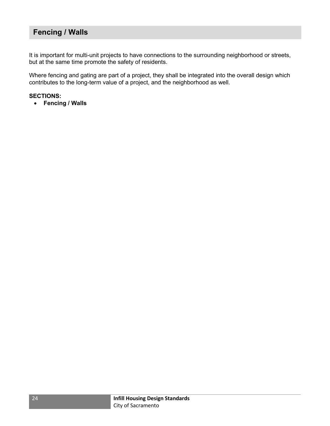## Fencing / Walls

It is important for multi-unit projects to have connections to the surrounding neighborhood or streets, but at the same time promote the safety of residents.

Where fencing and gating are part of a project, they shall be integrated into the overall design which contributes to the long-term value of a project, and the neighborhood as well.

#### SECTIONS:

• Fencing / Walls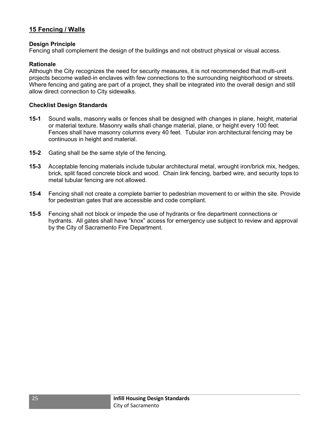#### 15 Fencing / Walls

#### Design Principle

Fencing shall complement the design of the buildings and not obstruct physical or visual access.

#### **Rationale**

Although the City recognizes the need for security measures, it is not recommended that multi-unit projects become walled-in enclaves with few connections to the surrounding neighborhood or streets. Where fencing and gating are part of a project, they shall be integrated into the overall design and still allow direct connection to City sidewalks.

- 15-1 Sound walls, masonry walls or fences shall be designed with changes in plane, height, material or material texture. Masonry walls shall change material, plane, or height every 100 feet. Fences shall have masonry columns every 40 feet. Tubular iron architectural fencing may be continuous in height and material.
- 15-2 Gating shall be the same style of the fencing.
- 15-3 Acceptable fencing materials include tubular architectural metal, wrought iron/brick mix, hedges, brick, split faced concrete block and wood. Chain link fencing, barbed wire, and security tops to metal tubular fencing are not allowed.
- 15-4 Fencing shall not create a complete barrier to pedestrian movement to or within the site. Provide for pedestrian gates that are accessible and code compliant.
- 15-5 Fencing shall not block or impede the use of hydrants or fire department connections or hydrants. All gates shall have "knox" access for emergency use subject to review and approval by the City of Sacramento Fire Department.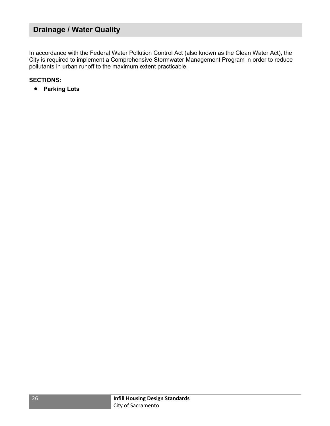## Drainage / Water Quality

In accordance with the Federal Water Pollution Control Act (also known as the Clean Water Act), the City is required to implement a Comprehensive Stormwater Management Program in order to reduce pollutants in urban runoff to the maximum extent practicable.

#### SECTIONS:

• Parking Lots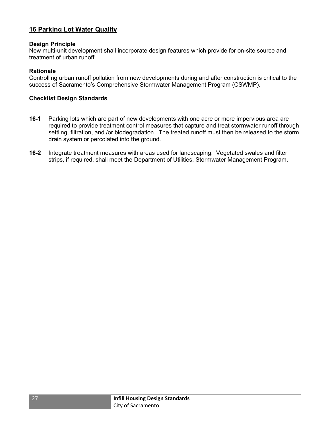#### 16 Parking Lot Water Quality

#### Design Principle

New multi-unit development shall incorporate design features which provide for on-site source and treatment of urban runoff.

#### **Rationale**

Controlling urban runoff pollution from new developments during and after construction is critical to the success of Sacramento's Comprehensive Stormwater Management Program (CSWMP).

- 16-1 Parking lots which are part of new developments with one acre or more impervious area are required to provide treatment control measures that capture and treat stormwater runoff through settling, filtration, and /or biodegradation. The treated runoff must then be released to the storm drain system or percolated into the ground.
- 16-2 Integrate treatment measures with areas used for landscaping. Vegetated swales and filter strips, if required, shall meet the Department of Utilities, Stormwater Management Program.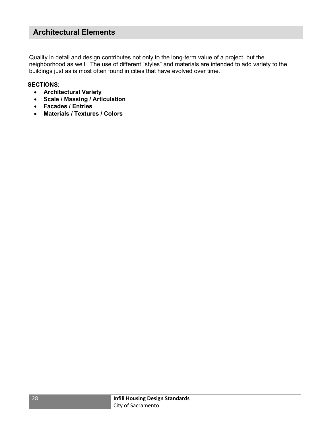## Architectural Elements

Quality in detail and design contributes not only to the long-term value of a project, but the neighborhood as well. The use of different "styles" and materials are intended to add variety to the buildings just as is most often found in cities that have evolved over time.

#### SECTIONS:

- Architectural Variety
- Scale / Massing / Articulation
- Facades / Entries
- Materials / Textures / Colors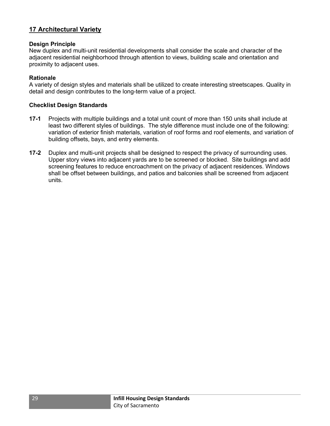#### 17 Architectural Variety

#### Design Principle

New duplex and multi-unit residential developments shall consider the scale and character of the adjacent residential neighborhood through attention to views, building scale and orientation and proximity to adjacent uses.

#### **Rationale**

A variety of design styles and materials shall be utilized to create interesting streetscapes. Quality in detail and design contributes to the long-term value of a project.

- 17-1 Projects with multiple buildings and a total unit count of more than 150 units shall include at least two different styles of buildings. The style difference must include one of the following: variation of exterior finish materials, variation of roof forms and roof elements, and variation of building offsets, bays, and entry elements.
- 17-2 Duplex and multi-unit projects shall be designed to respect the privacy of surrounding uses. Upper story views into adjacent yards are to be screened or blocked. Site buildings and add screening features to reduce encroachment on the privacy of adjacent residences. Windows shall be offset between buildings, and patios and balconies shall be screened from adjacent units.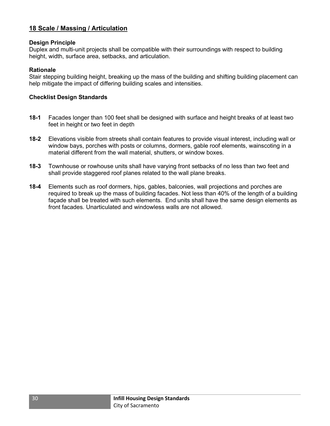#### 18 Scale / Massing / Articulation

#### Design Principle

Duplex and multi-unit projects shall be compatible with their surroundings with respect to building height, width, surface area, setbacks, and articulation.

#### Rationale

Stair stepping building height, breaking up the mass of the building and shifting building placement can help mitigate the impact of differing building scales and intensities.

- 18-1 Facades longer than 100 feet shall be designed with surface and height breaks of at least two feet in height or two feet in depth
- 18-2 Elevations visible from streets shall contain features to provide visual interest, including wall or window bays, porches with posts or columns, dormers, gable roof elements, wainscoting in a material different from the wall material, shutters, or window boxes.
- 18-3 Townhouse or rowhouse units shall have varying front setbacks of no less than two feet and shall provide staggered roof planes related to the wall plane breaks.
- **18-4** Elements such as roof dormers, hips, gables, balconies, wall projections and porches are required to break up the mass of building facades. Not less than 40% of the length of a building façade shall be treated with such elements. End units shall have the same design elements as front facades. Unarticulated and windowless walls are not allowed.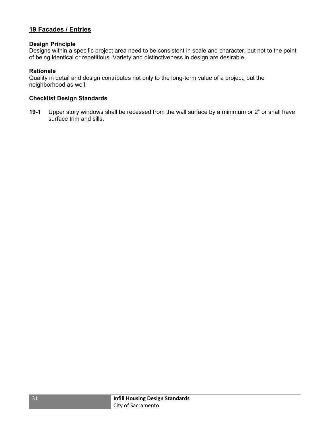#### 19 Facades / Entries

#### Design Principle

Designs within a specific project area need to be consistent in scale and character, but not to the point of being identical or repetitious. Variety and distinctiveness in design are desirable.

#### **Rationale**

Quality in detail and design contributes not only to the long-term value of a project, but the neighborhood as well.

#### Checklist Design Standards

19-1 Upper story windows shall be recessed from the wall surface by a minimum or 2" or shall have surface trim and sills.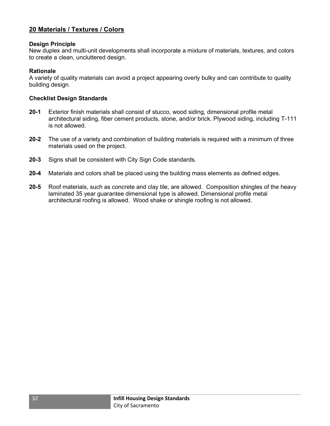#### 20 Materials / Textures / Colors

#### Design Principle

New duplex and multi-unit developments shall incorporate a mixture of materials, textures, and colors to create a clean, uncluttered design.

#### Rationale

A variety of quality materials can avoid a project appearing overly bulky and can contribute to quality building design.

- 20-1 Exterior finish materials shall consist of stucco, wood siding, dimensional profile metal architectural siding, fiber cement products, stone, and/or brick. Plywood siding, including T-111 is not allowed.
- 20-2 The use of a variety and combination of building materials is required with a minimum of three materials used on the project.
- 20-3 Signs shall be consistent with City Sign Code standards.
- 20-4 Materials and colors shall be placed using the building mass elements as defined edges.
- 20-5 Roof materials, such as concrete and clay tile, are allowed. Composition shingles of the heavy laminated 35 year guarantee dimensional type is allowed. Dimensional profile metal architectural roofing is allowed. Wood shake or shingle roofing is not allowed.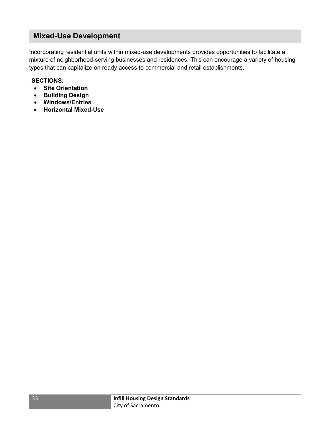## Mixed-Use Development

Incorporating residential units within mixed-use developments provides opportunities to facilitate a mixture of neighborhood-serving businesses and residences. This can encourage a variety of housing types that can capitalize on ready access to commercial and retail establishments.

#### SECTIONS:

- Site Orientation
- **•** Building Design
- Windows/Entries
- Horizontal Mixed-Use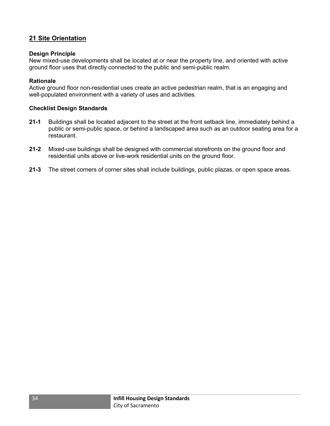#### 21 Site Orientation

#### Design Principle

New mixed-use developments shall be located at or near the property line, and oriented with active ground floor uses that directly connected to the public and semi-public realm.

#### Rationale

Active ground floor non-residential uses create an active pedestrian realm, that is an engaging and well-populated environment with a variety of uses and activities.

- 21-1 Buildings shall be located adjacent to the street at the front setback line, immediately behind a public or semi-public space, or behind a landscaped area such as an outdoor seating area for a restaurant.
- 21-2 Mixed-use buildings shall be designed with commercial storefronts on the ground floor and residential units above or live-work residential units on the ground floor.
- 21-3 The street corners of corner sites shall include buildings, public plazas, or open space areas.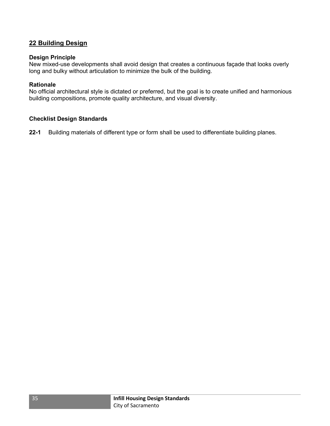#### 22 Building Design

#### Design Principle

New mixed-use developments shall avoid design that creates a continuous façade that looks overly long and bulky without articulation to minimize the bulk of the building.

#### **Rationale**

No official architectural style is dictated or preferred, but the goal is to create unified and harmonious building compositions, promote quality architecture, and visual diversity.

#### Checklist Design Standards

22-1 Building materials of different type or form shall be used to differentiate building planes.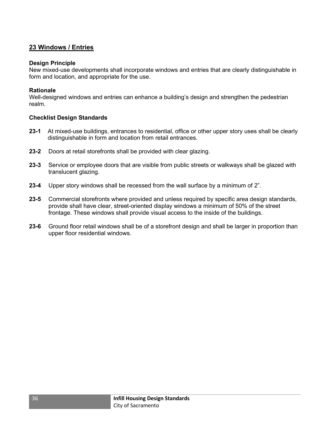#### 23 Windows / Entries

#### Design Principle

New mixed-use developments shall incorporate windows and entries that are clearly distinguishable in form and location, and appropriate for the use.

#### Rationale

Well-designed windows and entries can enhance a building's design and strengthen the pedestrian realm.

- 23-1 At mixed-use buildings, entrances to residential, office or other upper story uses shall be clearly distinguishable in form and location from retail entrances.
- 23-2 Doors at retail storefronts shall be provided with clear glazing.
- 23-3 Service or employee doors that are visible from public streets or walkways shall be glazed with translucent glazing.
- 23-4 Upper story windows shall be recessed from the wall surface by a minimum of 2".
- 23-5 Commercial storefronts where provided and unless required by specific area design standards, provide shall have clear, street-oriented display windows a minimum of 50% of the street frontage. These windows shall provide visual access to the inside of the buildings.
- 23-6 Ground floor retail windows shall be of a storefront design and shall be larger in proportion than upper floor residential windows.